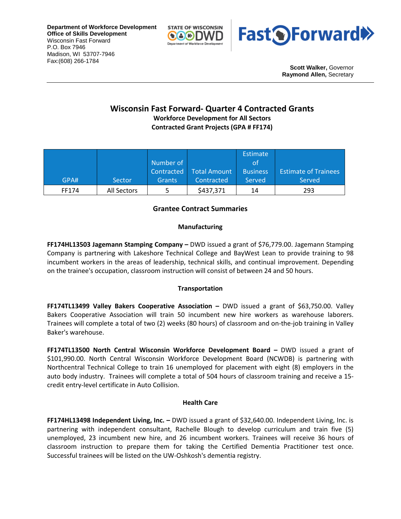**Department of Workforce Development Office of Skills Development** Wisconsin Fast Forward P.O. Box 7946 Madison, WI 53707-7946 Fax:(608) 266-1784





**Scott Walker,** Governor **Raymond Allen,** Secretary

# **Wisconsin Fast Forward- Quarter 4 Contracted Grants**

**Workforce Development for All Sectors Contracted Grant Projects (GPA # FF174)**

|       |             |               |              | <b>Estimate</b> |                             |
|-------|-------------|---------------|--------------|-----------------|-----------------------------|
|       |             | Number of     |              | οt              |                             |
|       |             | Contracted    | Total Amount | <b>Business</b> | <b>Estimate of Trainees</b> |
| GPA#  | Sector      | <b>Grants</b> | Contracted   | Served          | Served                      |
| FF174 | All Sectors |               | \$437,371    | 14              | 293                         |

## **Grantee Contract Summaries**

#### **Manufacturing**

**FF174HL13503 Jagemann Stamping Company –** DWD issued a grant of \$76,779.00. Jagemann Stamping Company is partnering with Lakeshore Technical College and BayWest Lean to provide training to 98 incumbent workers in the areas of leadership, technical skills, and continual improvement. Depending on the trainee's occupation, classroom instruction will consist of between 24 and 50 hours.

### **Transportation**

**FF174TL13499 Valley Bakers Cooperative Association –** DWD issued a grant of \$63,750.00. Valley Bakers Cooperative Association will train 50 incumbent new hire workers as warehouse laborers. Trainees will complete a total of two (2) weeks (80 hours) of classroom and on-the-job training in Valley Baker's warehouse.

**FF174TL13500 North Central Wisconsin Workforce Development Board –** DWD issued a grant of \$101,990.00. North Central Wisconsin Workforce Development Board (NCWDB) is partnering with Northcentral Technical College to train 16 unemployed for placement with eight (8) employers in the auto body industry. Trainees will complete a total of 504 hours of classroom training and receive a 15 credit entry-level certificate in Auto Collision.

#### **Health Care**

**FF174HL13498 Independent Living, Inc. –** DWD issued a grant of \$32,640.00. Independent Living, Inc. is partnering with independent consultant, Rachelle Blough to develop curriculum and train five (5) unemployed, 23 incumbent new hire, and 26 incumbent workers. Trainees will receive 36 hours of classroom instruction to prepare them for taking the Certified Dementia Practitioner test once. Successful trainees will be listed on the UW-Oshkosh's dementia registry.